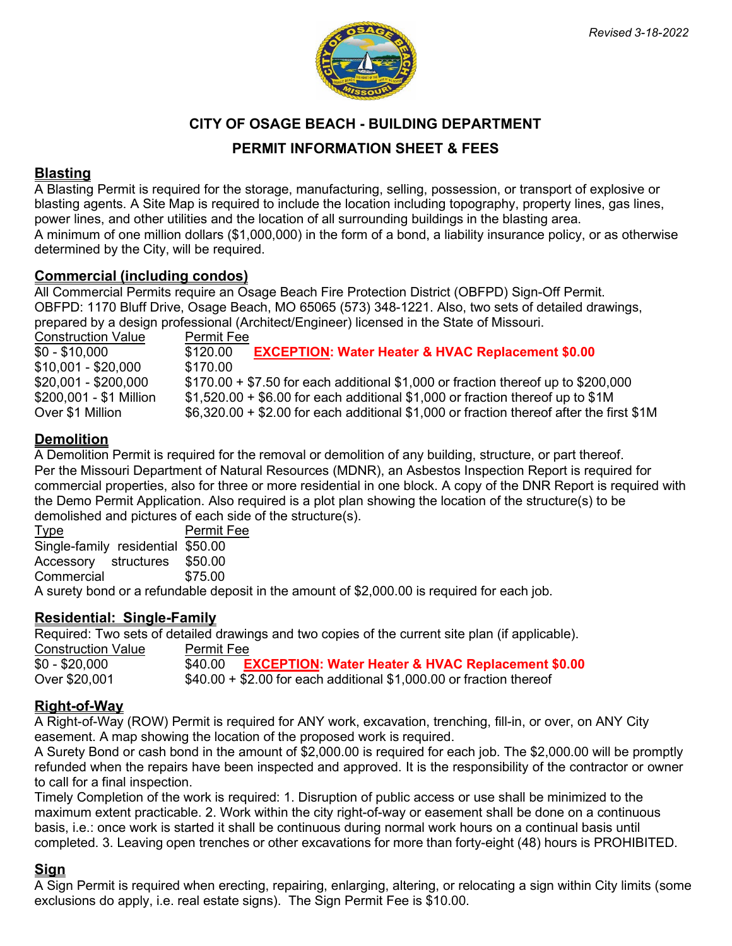



**CITY OF OSAGE BEACH - BUILDING DEPARTMENT**

# **PERMIT INFORMATION SHEET & FEES**

#### **Blasting**

A Blasting Permit is required for the storage, manufacturing, selling, possession, or transport of explosive or blasting agents. A Site Map is required to include the location including topography, property lines, gas lines, power lines, and other utilities and the location of all surrounding buildings in the blasting area. A minimum of one million dollars (\$1,000,000) in the form of a bond, a liability insurance policy, or as otherwise determined by the City, will be required.

#### **Commercial (including condos)**

All Commercial Permits require an Osage Beach Fire Protection District (OBFPD) Sign-Off Permit. OBFPD: 1170 Bluff Drive, Osage Beach, MO 65065 (573) 348-1221. Also, two sets of detailed drawings, prepared by a design professional (Architect/Engineer) licensed in the State of Missouri.

| <b>Construction Value</b> | Permit Fee                                                                               |
|---------------------------|------------------------------------------------------------------------------------------|
| $$0 - $10.000$            | <b>EXCEPTION: Water Heater &amp; HVAC Replacement \$0.00</b><br>\$120.00                 |
| $$10,001 - $20,000$       | \$170.00                                                                                 |
| $$20,001 - $200,000$      | $$170.00 + $7.50$ for each additional \$1,000 or fraction thereof up to \$200,000        |
| \$200,001 - \$1 Million   | $$1,520.00 + $6.00$ for each additional \$1,000 or fraction thereof up to \$1M           |
| Over \$1 Million          | \$6,320.00 + \$2.00 for each additional \$1,000 or fraction thereof after the first \$1M |

# **Demolition**

A Demolition Permit is required for the removal or demolition of any building, structure, or part thereof. Per the Missouri Department of Natural Resources (MDNR), an Asbestos Inspection Report is required for commercial properties, also for three or more residential in one block. A copy of the DNR Report is required with the Demo Permit Application. Also required is a plot plan showing the location of the structure(s) to be demolished and pictures of each side of the structure(s).

| Type                              | Permit Fee                                                                                  |
|-----------------------------------|---------------------------------------------------------------------------------------------|
| Single-family residential \$50.00 |                                                                                             |
| Accessory structures \$50.00      |                                                                                             |
| Commercial                        | \$75.00                                                                                     |
|                                   | A surety bond or a refundable deposit in the amount of \$2,000.00 is required for each job. |

# **Residential: Single-Family**

Required: Two sets of detailed drawings and two copies of the current site plan (if applicable).

**Construction Value** Permit Fee<br> **SO** - \$20,000 **E**<br> **S40.00** \$0 - \$20,000 **540.00** \$40.00 **EXCEPTION: Water Heater & HVAC Replacement \$0.00**<br>Over \$20,001 \$40.00 + \$2.00 for each additional \$1,000.00 or fraction thereof  $$40.00 + $2.00$  for each additional  $$1.000.00$  or fraction thereof

# **Right-of-Way**

A Right-of-Way (ROW) Permit is required for ANY work, excavation, trenching, fill-in, or over, on ANY City easement. A map showing the location of the proposed work is required.

A Surety Bond or cash bond in the amount of \$2,000.00 is required for each job. The \$2,000.00 will be promptly refunded when the repairs have been inspected and approved. It is the responsibility of the contractor or owner to call for a final inspection.

Timely Completion of the work is required: 1. Disruption of public access or use shall be minimized to the maximum extent practicable. 2. Work within the city right-of-way or easement shall be done on a continuous basis, i.e.: once work is started it shall be continuous during normal work hours on a continual basis until completed. 3. Leaving open trenches or other excavations for more than forty-eight (48) hours is PROHIBITED.

# **Sign**

A Sign Permit is required when erecting, repairing, enlarging, altering, or relocating a sign within City limits (some exclusions do apply, i.e. real estate signs). The Sign Permit Fee is \$10.00.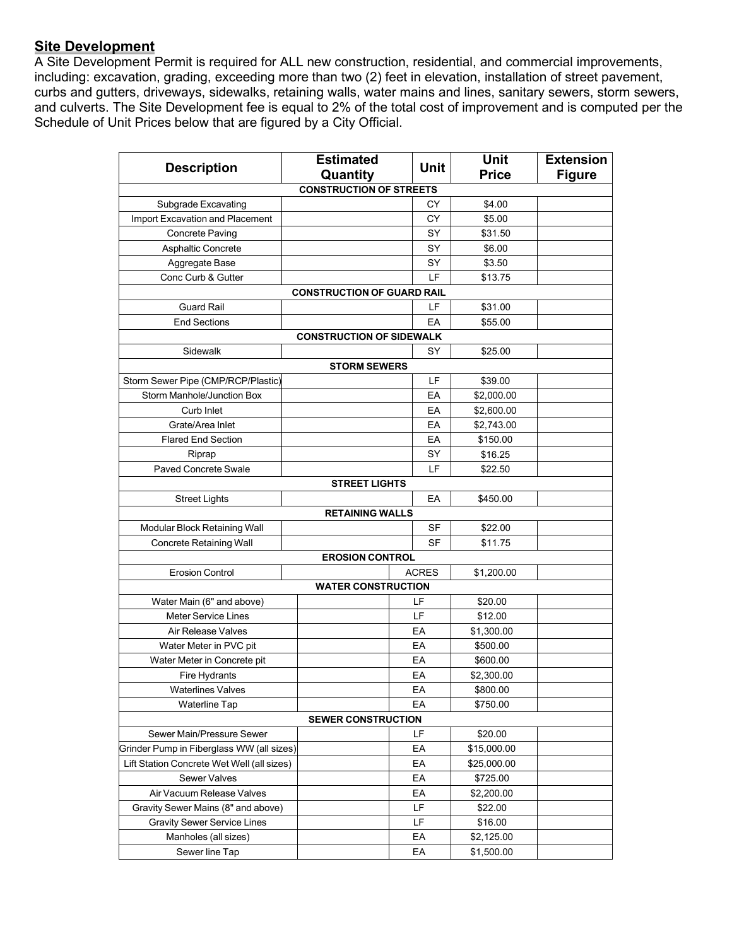# **Site Development**

A Site Development Permit is required for ALL new construction, residential, and commercial improvements, including: excavation, grading, exceeding more than two (2) feet in elevation, installation of street pavement, curbs and gutters, driveways, sidewalks, retaining walls, water mains and lines, sanitary sewers, storm sewers, and culverts. The Site Development fee is equal to 2% of the total cost of improvement and is computed per the Schedule of Unit Prices below that are figured by a City Official.

| <b>Price</b><br>Quantity<br><b>Figure</b><br><b>CONSTRUCTION OF STREETS</b><br>Subgrade Excavating<br>СY<br>\$4.00<br>Import Excavation and Placement<br>\$5.00<br>СY<br>SY<br><b>Concrete Paving</b><br>\$31.50<br><b>Asphaltic Concrete</b><br>SY<br>\$6.00<br>SY<br>\$3.50<br>Aggregate Base<br>LF<br>Conc Curb & Gutter<br>\$13.75<br><b>CONSTRUCTION OF GUARD RAIL</b><br><b>Guard Rail</b><br>LF<br>\$31.00<br><b>End Sections</b><br>EA<br>\$55.00<br><b>CONSTRUCTION OF SIDEWALK</b><br>Sidewalk<br>SY<br>\$25.00<br><b>STORM SEWERS</b><br>Storm Sewer Pipe (CMP/RCP/Plastic)<br>LF<br>\$39.00<br><b>Storm Manhole/Junction Box</b><br>EA<br>\$2,000.00<br>Curb Inlet<br>EA<br>\$2,600.00<br>Grate/Area Inlet<br>EA<br>\$2,743.00<br><b>Flared End Section</b><br>EA<br>\$150.00<br>SY<br>\$16.25<br>Riprap<br>Paved Concrete Swale<br>LF<br>\$22.50<br><b>STREET LIGHTS</b><br><b>Street Lights</b><br>EA<br>\$450.00<br><b>RETAINING WALLS</b><br>Modular Block Retaining Wall<br>SF<br>\$22.00<br><b>SF</b><br><b>Concrete Retaining Wall</b><br>\$11.75<br><b>EROSION CONTROL</b><br><b>Erosion Control</b><br><b>ACRES</b><br>\$1,200.00<br><b>WATER CONSTRUCTION</b><br>Water Main (6" and above)<br>LF<br>\$20.00<br>LF<br><b>Meter Service Lines</b><br>\$12.00<br>Air Release Valves<br>EA<br>\$1,300.00<br>EA<br>Water Meter in PVC pit<br>\$500.00<br>Water Meter in Concrete pit<br>EА<br>\$600.00<br>EА<br>Fire Hydrants<br>\$2,300.00<br><b>Waterlines Valves</b><br>EА<br>\$800.00<br>EА<br>\$750.00<br><b>Waterline Tap</b><br><b>SEWER CONSTRUCTION</b><br>Sewer Main/Pressure Sewer<br>LF<br>\$20.00<br>Grinder Pump in Fiberglass WW (all sizes)<br>EA<br>\$15,000.00<br>Lift Station Concrete Wet Well (all sizes)<br>EA<br>\$25,000.00<br>Sewer Valves<br>EA<br>\$725.00<br>Air Vacuum Release Valves<br>EА<br>\$2,200.00<br>Gravity Sewer Mains (8" and above)<br>LF<br>\$22.00<br>LF<br><b>Gravity Sewer Service Lines</b><br>\$16.00<br>EA<br>Manholes (all sizes)<br>\$2,125.00 | <b>Description</b> | <b>Estimated</b> | <b>Unit</b> | <b>Unit</b> | <b>Extension</b> |  |
|-------------------------------------------------------------------------------------------------------------------------------------------------------------------------------------------------------------------------------------------------------------------------------------------------------------------------------------------------------------------------------------------------------------------------------------------------------------------------------------------------------------------------------------------------------------------------------------------------------------------------------------------------------------------------------------------------------------------------------------------------------------------------------------------------------------------------------------------------------------------------------------------------------------------------------------------------------------------------------------------------------------------------------------------------------------------------------------------------------------------------------------------------------------------------------------------------------------------------------------------------------------------------------------------------------------------------------------------------------------------------------------------------------------------------------------------------------------------------------------------------------------------------------------------------------------------------------------------------------------------------------------------------------------------------------------------------------------------------------------------------------------------------------------------------------------------------------------------------------------------------------------------------------------------------------------------------------------------------------------------------------------------|--------------------|------------------|-------------|-------------|------------------|--|
|                                                                                                                                                                                                                                                                                                                                                                                                                                                                                                                                                                                                                                                                                                                                                                                                                                                                                                                                                                                                                                                                                                                                                                                                                                                                                                                                                                                                                                                                                                                                                                                                                                                                                                                                                                                                                                                                                                                                                                                                                   |                    |                  |             |             |                  |  |
|                                                                                                                                                                                                                                                                                                                                                                                                                                                                                                                                                                                                                                                                                                                                                                                                                                                                                                                                                                                                                                                                                                                                                                                                                                                                                                                                                                                                                                                                                                                                                                                                                                                                                                                                                                                                                                                                                                                                                                                                                   |                    |                  |             |             |                  |  |
|                                                                                                                                                                                                                                                                                                                                                                                                                                                                                                                                                                                                                                                                                                                                                                                                                                                                                                                                                                                                                                                                                                                                                                                                                                                                                                                                                                                                                                                                                                                                                                                                                                                                                                                                                                                                                                                                                                                                                                                                                   |                    |                  |             |             |                  |  |
|                                                                                                                                                                                                                                                                                                                                                                                                                                                                                                                                                                                                                                                                                                                                                                                                                                                                                                                                                                                                                                                                                                                                                                                                                                                                                                                                                                                                                                                                                                                                                                                                                                                                                                                                                                                                                                                                                                                                                                                                                   |                    |                  |             |             |                  |  |
|                                                                                                                                                                                                                                                                                                                                                                                                                                                                                                                                                                                                                                                                                                                                                                                                                                                                                                                                                                                                                                                                                                                                                                                                                                                                                                                                                                                                                                                                                                                                                                                                                                                                                                                                                                                                                                                                                                                                                                                                                   |                    |                  |             |             |                  |  |
|                                                                                                                                                                                                                                                                                                                                                                                                                                                                                                                                                                                                                                                                                                                                                                                                                                                                                                                                                                                                                                                                                                                                                                                                                                                                                                                                                                                                                                                                                                                                                                                                                                                                                                                                                                                                                                                                                                                                                                                                                   |                    |                  |             |             |                  |  |
|                                                                                                                                                                                                                                                                                                                                                                                                                                                                                                                                                                                                                                                                                                                                                                                                                                                                                                                                                                                                                                                                                                                                                                                                                                                                                                                                                                                                                                                                                                                                                                                                                                                                                                                                                                                                                                                                                                                                                                                                                   |                    |                  |             |             |                  |  |
|                                                                                                                                                                                                                                                                                                                                                                                                                                                                                                                                                                                                                                                                                                                                                                                                                                                                                                                                                                                                                                                                                                                                                                                                                                                                                                                                                                                                                                                                                                                                                                                                                                                                                                                                                                                                                                                                                                                                                                                                                   |                    |                  |             |             |                  |  |
|                                                                                                                                                                                                                                                                                                                                                                                                                                                                                                                                                                                                                                                                                                                                                                                                                                                                                                                                                                                                                                                                                                                                                                                                                                                                                                                                                                                                                                                                                                                                                                                                                                                                                                                                                                                                                                                                                                                                                                                                                   |                    |                  |             |             |                  |  |
|                                                                                                                                                                                                                                                                                                                                                                                                                                                                                                                                                                                                                                                                                                                                                                                                                                                                                                                                                                                                                                                                                                                                                                                                                                                                                                                                                                                                                                                                                                                                                                                                                                                                                                                                                                                                                                                                                                                                                                                                                   |                    |                  |             |             |                  |  |
|                                                                                                                                                                                                                                                                                                                                                                                                                                                                                                                                                                                                                                                                                                                                                                                                                                                                                                                                                                                                                                                                                                                                                                                                                                                                                                                                                                                                                                                                                                                                                                                                                                                                                                                                                                                                                                                                                                                                                                                                                   |                    |                  |             |             |                  |  |
|                                                                                                                                                                                                                                                                                                                                                                                                                                                                                                                                                                                                                                                                                                                                                                                                                                                                                                                                                                                                                                                                                                                                                                                                                                                                                                                                                                                                                                                                                                                                                                                                                                                                                                                                                                                                                                                                                                                                                                                                                   |                    |                  |             |             |                  |  |
|                                                                                                                                                                                                                                                                                                                                                                                                                                                                                                                                                                                                                                                                                                                                                                                                                                                                                                                                                                                                                                                                                                                                                                                                                                                                                                                                                                                                                                                                                                                                                                                                                                                                                                                                                                                                                                                                                                                                                                                                                   |                    |                  |             |             |                  |  |
|                                                                                                                                                                                                                                                                                                                                                                                                                                                                                                                                                                                                                                                                                                                                                                                                                                                                                                                                                                                                                                                                                                                                                                                                                                                                                                                                                                                                                                                                                                                                                                                                                                                                                                                                                                                                                                                                                                                                                                                                                   |                    |                  |             |             |                  |  |
|                                                                                                                                                                                                                                                                                                                                                                                                                                                                                                                                                                                                                                                                                                                                                                                                                                                                                                                                                                                                                                                                                                                                                                                                                                                                                                                                                                                                                                                                                                                                                                                                                                                                                                                                                                                                                                                                                                                                                                                                                   |                    |                  |             |             |                  |  |
|                                                                                                                                                                                                                                                                                                                                                                                                                                                                                                                                                                                                                                                                                                                                                                                                                                                                                                                                                                                                                                                                                                                                                                                                                                                                                                                                                                                                                                                                                                                                                                                                                                                                                                                                                                                                                                                                                                                                                                                                                   |                    |                  |             |             |                  |  |
|                                                                                                                                                                                                                                                                                                                                                                                                                                                                                                                                                                                                                                                                                                                                                                                                                                                                                                                                                                                                                                                                                                                                                                                                                                                                                                                                                                                                                                                                                                                                                                                                                                                                                                                                                                                                                                                                                                                                                                                                                   |                    |                  |             |             |                  |  |
|                                                                                                                                                                                                                                                                                                                                                                                                                                                                                                                                                                                                                                                                                                                                                                                                                                                                                                                                                                                                                                                                                                                                                                                                                                                                                                                                                                                                                                                                                                                                                                                                                                                                                                                                                                                                                                                                                                                                                                                                                   |                    |                  |             |             |                  |  |
|                                                                                                                                                                                                                                                                                                                                                                                                                                                                                                                                                                                                                                                                                                                                                                                                                                                                                                                                                                                                                                                                                                                                                                                                                                                                                                                                                                                                                                                                                                                                                                                                                                                                                                                                                                                                                                                                                                                                                                                                                   |                    |                  |             |             |                  |  |
|                                                                                                                                                                                                                                                                                                                                                                                                                                                                                                                                                                                                                                                                                                                                                                                                                                                                                                                                                                                                                                                                                                                                                                                                                                                                                                                                                                                                                                                                                                                                                                                                                                                                                                                                                                                                                                                                                                                                                                                                                   |                    |                  |             |             |                  |  |
|                                                                                                                                                                                                                                                                                                                                                                                                                                                                                                                                                                                                                                                                                                                                                                                                                                                                                                                                                                                                                                                                                                                                                                                                                                                                                                                                                                                                                                                                                                                                                                                                                                                                                                                                                                                                                                                                                                                                                                                                                   |                    |                  |             |             |                  |  |
|                                                                                                                                                                                                                                                                                                                                                                                                                                                                                                                                                                                                                                                                                                                                                                                                                                                                                                                                                                                                                                                                                                                                                                                                                                                                                                                                                                                                                                                                                                                                                                                                                                                                                                                                                                                                                                                                                                                                                                                                                   |                    |                  |             |             |                  |  |
|                                                                                                                                                                                                                                                                                                                                                                                                                                                                                                                                                                                                                                                                                                                                                                                                                                                                                                                                                                                                                                                                                                                                                                                                                                                                                                                                                                                                                                                                                                                                                                                                                                                                                                                                                                                                                                                                                                                                                                                                                   |                    |                  |             |             |                  |  |
|                                                                                                                                                                                                                                                                                                                                                                                                                                                                                                                                                                                                                                                                                                                                                                                                                                                                                                                                                                                                                                                                                                                                                                                                                                                                                                                                                                                                                                                                                                                                                                                                                                                                                                                                                                                                                                                                                                                                                                                                                   |                    |                  |             |             |                  |  |
|                                                                                                                                                                                                                                                                                                                                                                                                                                                                                                                                                                                                                                                                                                                                                                                                                                                                                                                                                                                                                                                                                                                                                                                                                                                                                                                                                                                                                                                                                                                                                                                                                                                                                                                                                                                                                                                                                                                                                                                                                   |                    |                  |             |             |                  |  |
|                                                                                                                                                                                                                                                                                                                                                                                                                                                                                                                                                                                                                                                                                                                                                                                                                                                                                                                                                                                                                                                                                                                                                                                                                                                                                                                                                                                                                                                                                                                                                                                                                                                                                                                                                                                                                                                                                                                                                                                                                   |                    |                  |             |             |                  |  |
|                                                                                                                                                                                                                                                                                                                                                                                                                                                                                                                                                                                                                                                                                                                                                                                                                                                                                                                                                                                                                                                                                                                                                                                                                                                                                                                                                                                                                                                                                                                                                                                                                                                                                                                                                                                                                                                                                                                                                                                                                   |                    |                  |             |             |                  |  |
|                                                                                                                                                                                                                                                                                                                                                                                                                                                                                                                                                                                                                                                                                                                                                                                                                                                                                                                                                                                                                                                                                                                                                                                                                                                                                                                                                                                                                                                                                                                                                                                                                                                                                                                                                                                                                                                                                                                                                                                                                   |                    |                  |             |             |                  |  |
|                                                                                                                                                                                                                                                                                                                                                                                                                                                                                                                                                                                                                                                                                                                                                                                                                                                                                                                                                                                                                                                                                                                                                                                                                                                                                                                                                                                                                                                                                                                                                                                                                                                                                                                                                                                                                                                                                                                                                                                                                   |                    |                  |             |             |                  |  |
|                                                                                                                                                                                                                                                                                                                                                                                                                                                                                                                                                                                                                                                                                                                                                                                                                                                                                                                                                                                                                                                                                                                                                                                                                                                                                                                                                                                                                                                                                                                                                                                                                                                                                                                                                                                                                                                                                                                                                                                                                   |                    |                  |             |             |                  |  |
|                                                                                                                                                                                                                                                                                                                                                                                                                                                                                                                                                                                                                                                                                                                                                                                                                                                                                                                                                                                                                                                                                                                                                                                                                                                                                                                                                                                                                                                                                                                                                                                                                                                                                                                                                                                                                                                                                                                                                                                                                   |                    |                  |             |             |                  |  |
|                                                                                                                                                                                                                                                                                                                                                                                                                                                                                                                                                                                                                                                                                                                                                                                                                                                                                                                                                                                                                                                                                                                                                                                                                                                                                                                                                                                                                                                                                                                                                                                                                                                                                                                                                                                                                                                                                                                                                                                                                   |                    |                  |             |             |                  |  |
|                                                                                                                                                                                                                                                                                                                                                                                                                                                                                                                                                                                                                                                                                                                                                                                                                                                                                                                                                                                                                                                                                                                                                                                                                                                                                                                                                                                                                                                                                                                                                                                                                                                                                                                                                                                                                                                                                                                                                                                                                   |                    |                  |             |             |                  |  |
|                                                                                                                                                                                                                                                                                                                                                                                                                                                                                                                                                                                                                                                                                                                                                                                                                                                                                                                                                                                                                                                                                                                                                                                                                                                                                                                                                                                                                                                                                                                                                                                                                                                                                                                                                                                                                                                                                                                                                                                                                   |                    |                  |             |             |                  |  |
|                                                                                                                                                                                                                                                                                                                                                                                                                                                                                                                                                                                                                                                                                                                                                                                                                                                                                                                                                                                                                                                                                                                                                                                                                                                                                                                                                                                                                                                                                                                                                                                                                                                                                                                                                                                                                                                                                                                                                                                                                   |                    |                  |             |             |                  |  |
|                                                                                                                                                                                                                                                                                                                                                                                                                                                                                                                                                                                                                                                                                                                                                                                                                                                                                                                                                                                                                                                                                                                                                                                                                                                                                                                                                                                                                                                                                                                                                                                                                                                                                                                                                                                                                                                                                                                                                                                                                   |                    |                  |             |             |                  |  |
|                                                                                                                                                                                                                                                                                                                                                                                                                                                                                                                                                                                                                                                                                                                                                                                                                                                                                                                                                                                                                                                                                                                                                                                                                                                                                                                                                                                                                                                                                                                                                                                                                                                                                                                                                                                                                                                                                                                                                                                                                   |                    |                  |             |             |                  |  |
|                                                                                                                                                                                                                                                                                                                                                                                                                                                                                                                                                                                                                                                                                                                                                                                                                                                                                                                                                                                                                                                                                                                                                                                                                                                                                                                                                                                                                                                                                                                                                                                                                                                                                                                                                                                                                                                                                                                                                                                                                   |                    |                  |             |             |                  |  |
|                                                                                                                                                                                                                                                                                                                                                                                                                                                                                                                                                                                                                                                                                                                                                                                                                                                                                                                                                                                                                                                                                                                                                                                                                                                                                                                                                                                                                                                                                                                                                                                                                                                                                                                                                                                                                                                                                                                                                                                                                   |                    |                  |             |             |                  |  |
|                                                                                                                                                                                                                                                                                                                                                                                                                                                                                                                                                                                                                                                                                                                                                                                                                                                                                                                                                                                                                                                                                                                                                                                                                                                                                                                                                                                                                                                                                                                                                                                                                                                                                                                                                                                                                                                                                                                                                                                                                   |                    |                  |             |             |                  |  |
|                                                                                                                                                                                                                                                                                                                                                                                                                                                                                                                                                                                                                                                                                                                                                                                                                                                                                                                                                                                                                                                                                                                                                                                                                                                                                                                                                                                                                                                                                                                                                                                                                                                                                                                                                                                                                                                                                                                                                                                                                   |                    |                  |             |             |                  |  |
|                                                                                                                                                                                                                                                                                                                                                                                                                                                                                                                                                                                                                                                                                                                                                                                                                                                                                                                                                                                                                                                                                                                                                                                                                                                                                                                                                                                                                                                                                                                                                                                                                                                                                                                                                                                                                                                                                                                                                                                                                   |                    |                  |             |             |                  |  |
|                                                                                                                                                                                                                                                                                                                                                                                                                                                                                                                                                                                                                                                                                                                                                                                                                                                                                                                                                                                                                                                                                                                                                                                                                                                                                                                                                                                                                                                                                                                                                                                                                                                                                                                                                                                                                                                                                                                                                                                                                   |                    |                  |             |             |                  |  |
|                                                                                                                                                                                                                                                                                                                                                                                                                                                                                                                                                                                                                                                                                                                                                                                                                                                                                                                                                                                                                                                                                                                                                                                                                                                                                                                                                                                                                                                                                                                                                                                                                                                                                                                                                                                                                                                                                                                                                                                                                   |                    |                  |             |             |                  |  |
|                                                                                                                                                                                                                                                                                                                                                                                                                                                                                                                                                                                                                                                                                                                                                                                                                                                                                                                                                                                                                                                                                                                                                                                                                                                                                                                                                                                                                                                                                                                                                                                                                                                                                                                                                                                                                                                                                                                                                                                                                   |                    |                  |             |             |                  |  |
|                                                                                                                                                                                                                                                                                                                                                                                                                                                                                                                                                                                                                                                                                                                                                                                                                                                                                                                                                                                                                                                                                                                                                                                                                                                                                                                                                                                                                                                                                                                                                                                                                                                                                                                                                                                                                                                                                                                                                                                                                   | Sewer line Tap     |                  | EA          | \$1,500.00  |                  |  |